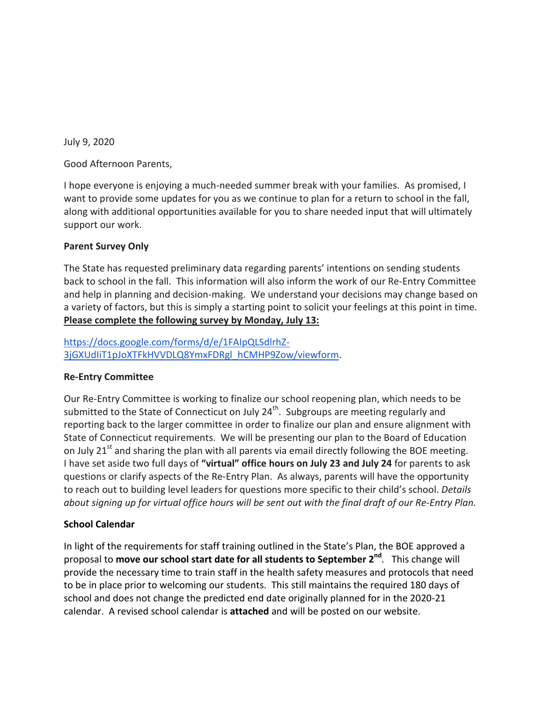July 9, 2020

Good Afternoon Parents,

I hope everyone is enjoying a much-needed summer break with your families. As promised, I want to provide some updates for you as we continue to plan for a return to school in the fall, along with additional opportunities available for you to share needed input that will ultimately support our work.

## **Parent Survey Only**

The State has requested preliminary data regarding parents' intentions on sending students back to school in the fall. This information will also inform the work of our Re-Entry Committee and help in planning and decision-making. We understand your decisions may change based on a variety of factors, but this is simply a starting point to solicit your feelings at this point in time. **Please complete the following survey by Monday, July 13:** 

[https://docs.google.com/forms/d/e/1FAIpQLSdlrhZ-](https://docs.google.com/forms/d/e/1FAIpQLSdlrhZ-3jGXUdIiT1pJoXTFkHVVDLQ8YmxFDRgl_hCMHP9Zow/viewform)[3jGXUdIiT1pJoXTFkHVVDLQ8YmxFDRgl\\_hCMHP9Zow/viewform.](https://docs.google.com/forms/d/e/1FAIpQLSdlrhZ-3jGXUdIiT1pJoXTFkHVVDLQ8YmxFDRgl_hCMHP9Zow/viewform)

## **Re-Entry Committee**

Our Re-Entry Committee is working to finalize our school reopening plan, which needs to be submitted to the State of Connecticut on July 24<sup>th</sup>. Subgroups are meeting regularly and reporting back to the larger committee in order to finalize our plan and ensure alignment with State of Connecticut requirements. We will be presenting our plan to the Board of Education on July  $21<sup>st</sup>$  and sharing the plan with all parents via email directly following the BOE meeting. I have set aside two full days of **"virtual" office hours on July 23 and July 24** for parents to ask questions or clarify aspects of the Re-Entry Plan. As always, parents will have the opportunity to reach out to building level leaders for questions more specific to their child's school. *Details about signing up for virtual office hours will be sent out with the final draft of our Re-Entry Plan.*

## **School Calendar**

In light of the requirements for staff training outlined in the State's Plan, the BOE approved a proposal to **move our school start date for all students to September 2nd**. This change will provide the necessary time to train staff in the health safety measures and protocols that need to be in place prior to welcoming our students. This still maintains the required 180 days of school and does not change the predicted end date originally planned for in the 2020-21 calendar. A revised school calendar is **attached** and will be posted on our website.